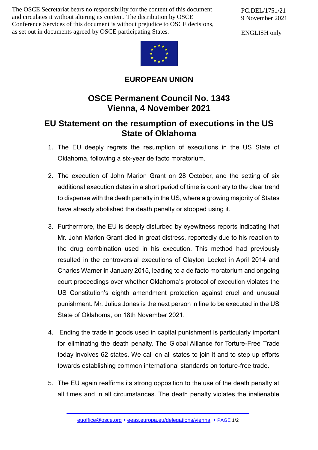The OSCE Secretariat bears no responsibility for the content of this document and circulates it without altering its content. The distribution by OSCE Conference Services of this document is without prejudice to OSCE decisions, as set out in documents agreed by OSCE participating States.

PC.DEL/1751/21 9 November 2021

ENGLISH only



**EUROPEAN UNION**

## **OSCE Permanent Council No. 1343 Vienna, 4 November 2021**

## **EU Statement on the resumption of executions in the US State of Oklahoma**

- 1. The EU deeply regrets the resumption of executions in the US State of Oklahoma, following a six-year de facto moratorium.
- 2. The execution of John Marion Grant on 28 October, and the setting of six additional execution dates in a short period of time is contrary to the clear trend to dispense with the death penalty in the US, where a growing majority of States have already abolished the death penalty or stopped using it.
- 3. Furthermore, the EU is deeply disturbed by eyewitness reports indicating that Mr. John Marion Grant died in great distress, reportedly due to his reaction to the drug combination used in his execution. This method had previously resulted in the controversial executions of Clayton Locket in April 2014 and Charles Warner in January 2015, leading to a de facto moratorium and ongoing court proceedings over whether Oklahoma's protocol of execution violates the US Constitution's eighth amendment protection against cruel and unusual punishment. Mr. Julius Jones is the next person in line to be executed in the US State of Oklahoma, on 18th November 2021.
- 4. Ending the trade in goods used in capital punishment is particularly important for eliminating the death penalty. The Global Alliance for Torture-Free Trade today involves 62 states. We call on all states to join it and to step up efforts towards establishing common international standards on torture-free trade.
- 5. The EU again reaffirms its strong opposition to the use of the death penalty at all times and in all circumstances. The death penalty violates the inalienable

[euoffice@osce.org](mailto:euoffice@osce.org) • [eeas.europa.eu/delegations/vienna](http://eeas.europa.eu/delegations/vienna) • PAGE 1/2